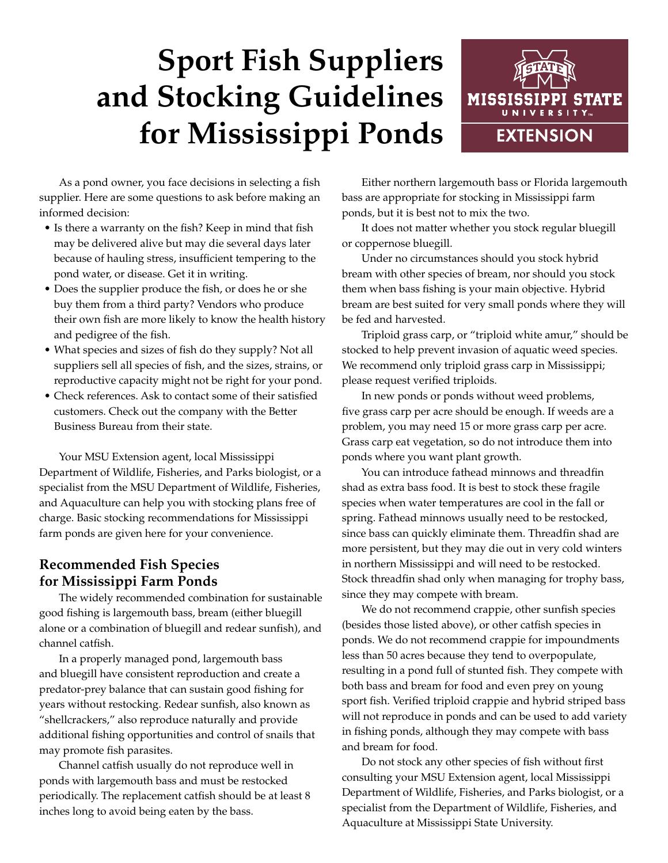# **Sport Fish Suppliers and Stocking Guidelines for Mississippi Ponds**



As a pond owner, you face decisions in selecting a fish supplier. Here are some questions to ask before making an informed decision:

- Is there a warranty on the fish? Keep in mind that fish may be delivered alive but may die several days later because of hauling stress, insufficient tempering to the pond water, or disease. Get it in writing.
- Does the supplier produce the fish, or does he or she buy them from a third party? Vendors who produce their own fish are more likely to know the health history and pedigree of the fish.
- What species and sizes of fish do they supply? Not all suppliers sell all species of fish, and the sizes, strains, or reproductive capacity might not be right for your pond.
- Check references. Ask to contact some of their satisfied customers. Check out the company with the Better Business Bureau from their state.

Your MSU Extension agent, local Mississippi Department of Wildlife, Fisheries, and Parks biologist, or a specialist from the MSU Department of Wildlife, Fisheries, and Aquaculture can help you with stocking plans free of charge. Basic stocking recommendations for Mississippi farm ponds are given here for your convenience.

#### **Recommended Fish Species for Mississippi Farm Ponds**

The widely recommended combination for sustainable good fishing is largemouth bass, bream (either bluegill alone or a combination of bluegill and redear sunfish), and channel catfish.

In a properly managed pond, largemouth bass and bluegill have consistent reproduction and create a predator-prey balance that can sustain good fishing for years without restocking. Redear sunfish, also known as "shellcrackers," also reproduce naturally and provide additional fishing opportunities and control of snails that may promote fish parasites.

Channel catfish usually do not reproduce well in ponds with largemouth bass and must be restocked periodically. The replacement catfish should be at least 8 inches long to avoid being eaten by the bass.

Either northern largemouth bass or Florida largemouth bass are appropriate for stocking in Mississippi farm ponds, but it is best not to mix the two.

It does not matter whether you stock regular bluegill or coppernose bluegill.

Under no circumstances should you stock hybrid bream with other species of bream, nor should you stock them when bass fishing is your main objective. Hybrid bream are best suited for very small ponds where they will be fed and harvested.

Triploid grass carp, or "triploid white amur," should be stocked to help prevent invasion of aquatic weed species. We recommend only triploid grass carp in Mississippi; please request verified triploids.

In new ponds or ponds without weed problems, five grass carp per acre should be enough. If weeds are a problem, you may need 15 or more grass carp per acre. Grass carp eat vegetation, so do not introduce them into ponds where you want plant growth.

You can introduce fathead minnows and threadfin shad as extra bass food. It is best to stock these fragile species when water temperatures are cool in the fall or spring. Fathead minnows usually need to be restocked, since bass can quickly eliminate them. Threadfin shad are more persistent, but they may die out in very cold winters in northern Mississippi and will need to be restocked. Stock threadfin shad only when managing for trophy bass, since they may compete with bream.

We do not recommend crappie, other sunfish species (besides those listed above), or other catfish species in ponds. We do not recommend crappie for impoundments less than 50 acres because they tend to overpopulate, resulting in a pond full of stunted fish. They compete with both bass and bream for food and even prey on young sport fish. Verified triploid crappie and hybrid striped bass will not reproduce in ponds and can be used to add variety in fishing ponds, although they may compete with bass and bream for food.

Do not stock any other species of fish without first consulting your MSU Extension agent, local Mississippi Department of Wildlife, Fisheries, and Parks biologist, or a specialist from the Department of Wildlife, Fisheries, and Aquaculture at Mississippi State University.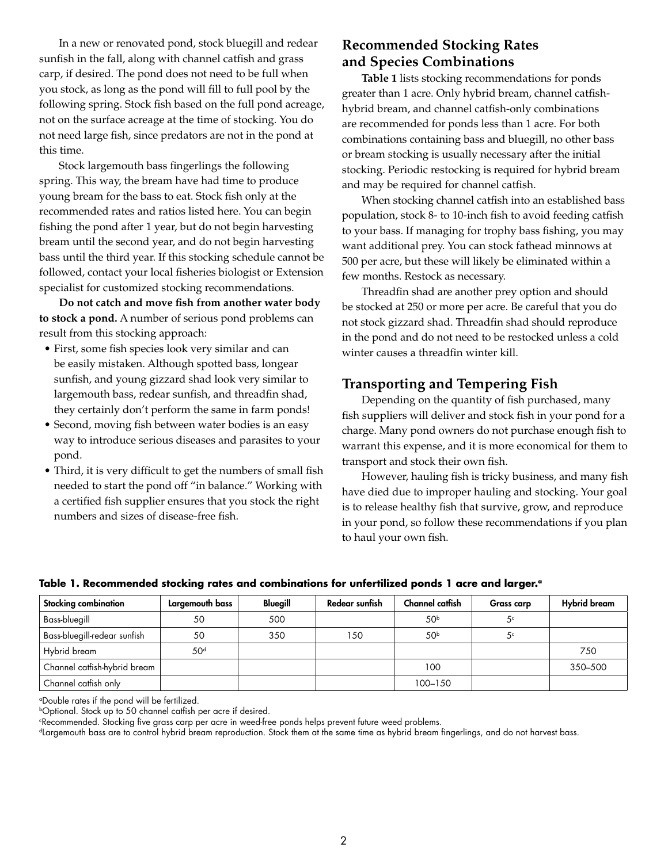In a new or renovated pond, stock bluegill and redear sunfish in the fall, along with channel catfish and grass carp, if desired. The pond does not need to be full when you stock, as long as the pond will fill to full pool by the following spring. Stock fish based on the full pond acreage, not on the surface acreage at the time of stocking. You do not need large fish, since predators are not in the pond at this time.

Stock largemouth bass fingerlings the following spring. This way, the bream have had time to produce young bream for the bass to eat. Stock fish only at the recommended rates and ratios listed here. You can begin fishing the pond after 1 year, but do not begin harvesting bream until the second year, and do not begin harvesting bass until the third year. If this stocking schedule cannot be followed, contact your local fisheries biologist or Extension specialist for customized stocking recommendations.

**Do not catch and move fish from another water body to stock a pond.** A number of serious pond problems can result from this stocking approach:

- First, some fish species look very similar and can be easily mistaken. Although spotted bass, longear sunfish, and young gizzard shad look very similar to largemouth bass, redear sunfish, and threadfin shad, they certainly don't perform the same in farm ponds!
- Second, moving fish between water bodies is an easy way to introduce serious diseases and parasites to your pond.
- Third, it is very difficult to get the numbers of small fish needed to start the pond off "in balance." Working with a certified fish supplier ensures that you stock the right numbers and sizes of disease-free fish.

## **Recommended Stocking Rates and Species Combinations**

**Table 1** lists stocking recommendations for ponds greater than 1 acre. Only hybrid bream, channel catfishhybrid bream, and channel catfish-only combinations are recommended for ponds less than 1 acre. For both combinations containing bass and bluegill, no other bass or bream stocking is usually necessary after the initial stocking. Periodic restocking is required for hybrid bream and may be required for channel catfish.

When stocking channel catfish into an established bass population, stock 8- to 10-inch fish to avoid feeding catfish to your bass. If managing for trophy bass fishing, you may want additional prey. You can stock fathead minnows at 500 per acre, but these will likely be eliminated within a few months. Restock as necessary.

Threadfin shad are another prey option and should be stocked at 250 or more per acre. Be careful that you do not stock gizzard shad. Threadfin shad should reproduce in the pond and do not need to be restocked unless a cold winter causes a threadfin winter kill.

## **Transporting and Tempering Fish**

Depending on the quantity of fish purchased, many fish suppliers will deliver and stock fish in your pond for a charge. Many pond owners do not purchase enough fish to warrant this expense, and it is more economical for them to transport and stock their own fish.

However, hauling fish is tricky business, and many fish have died due to improper hauling and stocking. Your goal is to release healthy fish that survive, grow, and reproduce in your pond, so follow these recommendations if you plan to haul your own fish.

| <b>Stocking combination</b>  | Largemouth bass | <b>Bluegill</b> | Redear sunfish | Channel catfish | <b>Grass carp</b> | <b>Hybrid bream</b> |  |
|------------------------------|-----------------|-----------------|----------------|-----------------|-------------------|---------------------|--|
| <b>Bass-bluegill</b>         | 50              | 500             |                | 50 <sup>b</sup> | 5 <sup>c</sup>    |                     |  |
| Bass-bluegill-redear sunfish | 50              | 350             | 150            | 50 <sup>b</sup> | 5 <sup>c</sup>    |                     |  |
| Hybrid bream                 | 50 <sup>d</sup> |                 |                |                 |                   | 750                 |  |
| Channel catfish-hybrid bream |                 |                 |                | 100             |                   | 350-500             |  |
| Channel catfish only         |                 |                 |                | 100-150         |                   |                     |  |

Table 1. Recommended stocking rates and combinations for unfertilized ponds 1 acre and larger.<sup>a</sup>

aDouble rates if the pond will be fertilized.

bOptional. Stock up to 50 channel catfish per acre if desired.

c Recommended. Stocking five grass carp per acre in weed-free ponds helps prevent future weed problems.

dLargemouth bass are to control hybrid bream reproduction. Stock them at the same time as hybrid bream fingerlings, and do not harvest bass.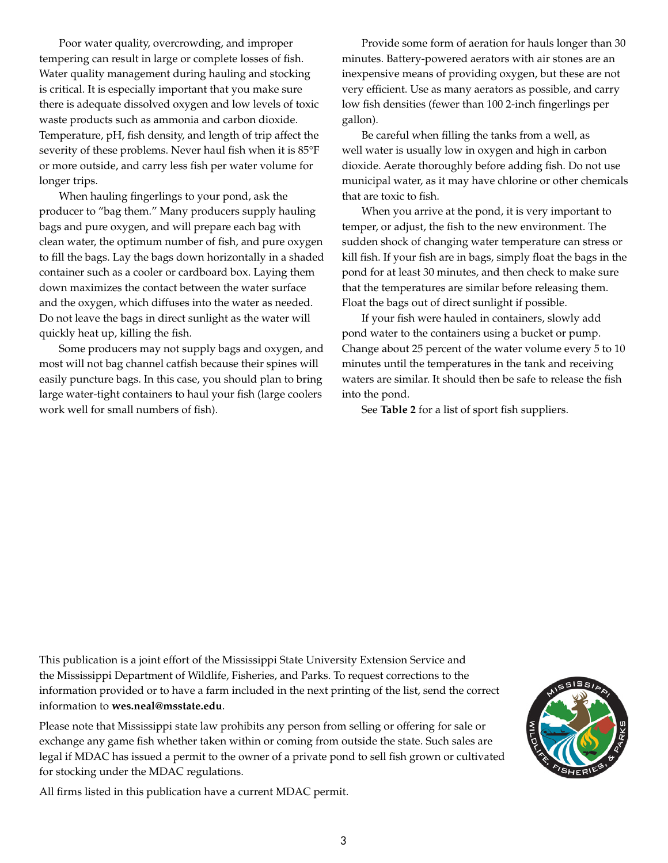Poor water quality, overcrowding, and improper tempering can result in large or complete losses of fish. Water quality management during hauling and stocking is critical. It is especially important that you make sure there is adequate dissolved oxygen and low levels of toxic waste products such as ammonia and carbon dioxide. Temperature, pH, fish density, and length of trip affect the severity of these problems. Never haul fish when it is 85°F or more outside, and carry less fish per water volume for longer trips.

When hauling fingerlings to your pond, ask the producer to "bag them." Many producers supply hauling bags and pure oxygen, and will prepare each bag with clean water, the optimum number of fish, and pure oxygen to fill the bags. Lay the bags down horizontally in a shaded container such as a cooler or cardboard box. Laying them down maximizes the contact between the water surface and the oxygen, which diffuses into the water as needed. Do not leave the bags in direct sunlight as the water will quickly heat up, killing the fish.

Some producers may not supply bags and oxygen, and most will not bag channel catfish because their spines will easily puncture bags. In this case, you should plan to bring large water-tight containers to haul your fish (large coolers work well for small numbers of fish).

Provide some form of aeration for hauls longer than 30 minutes. Battery-powered aerators with air stones are an inexpensive means of providing oxygen, but these are not very efficient. Use as many aerators as possible, and carry low fish densities (fewer than 100 2-inch fingerlings per gallon).

Be careful when filling the tanks from a well, as well water is usually low in oxygen and high in carbon dioxide. Aerate thoroughly before adding fish. Do not use municipal water, as it may have chlorine or other chemicals that are toxic to fish.

When you arrive at the pond, it is very important to temper, or adjust, the fish to the new environment. The sudden shock of changing water temperature can stress or kill fish. If your fish are in bags, simply float the bags in the pond for at least 30 minutes, and then check to make sure that the temperatures are similar before releasing them. Float the bags out of direct sunlight if possible.

If your fish were hauled in containers, slowly add pond water to the containers using a bucket or pump. Change about 25 percent of the water volume every 5 to 10 minutes until the temperatures in the tank and receiving waters are similar. It should then be safe to release the fish into the pond.

See **Table 2** for a list of sport fish suppliers.

This publication is a joint effort of the Mississippi State University Extension Service and the Mississippi Department of Wildlife, Fisheries, and Parks. To request corrections to the information provided or to have a farm included in the next printing of the list, send the correct information to **wes.neal@msstate.edu**.

Please note that Mississippi state law prohibits any person from selling or offering for sale or exchange any game fish whether taken within or coming from outside the state. Such sales are legal if MDAC has issued a permit to the owner of a private pond to sell fish grown or cultivated for stocking under the MDAC regulations.

All firms listed in this publication have a current MDAC permit.